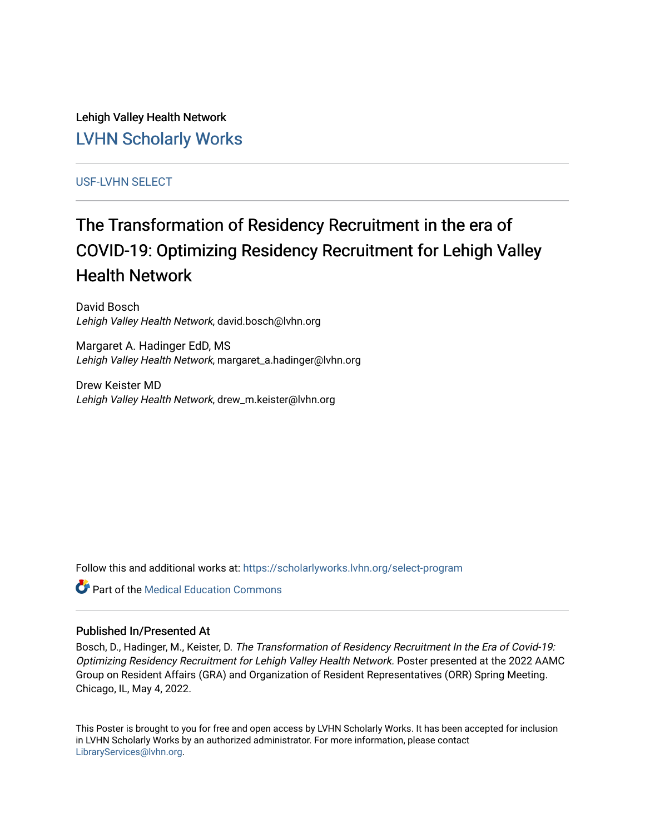Lehigh Valley Health Network [LVHN Scholarly Works](https://scholarlyworks.lvhn.org/)

[USF-LVHN SELECT](https://scholarlyworks.lvhn.org/select-program) 

#### The Transformation of Residency Recruitment in the era of COVID-19: Optimizing Residency Recruitment for Lehigh Valley Health Network

David Bosch Lehigh Valley Health Network, david.bosch@lvhn.org

Margaret A. Hadinger EdD, MS Lehigh Valley Health Network, margaret\_a.hadinger@lvhn.org

Drew Keister MD Lehigh Valley Health Network, drew\_m.keister@lvhn.org

Follow this and additional works at: [https://scholarlyworks.lvhn.org/select-program](https://scholarlyworks.lvhn.org/select-program?utm_source=scholarlyworks.lvhn.org%2Fselect-program%2F300&utm_medium=PDF&utm_campaign=PDFCoverPages)

**C** Part of the Medical Education Commons

#### Published In/Presented At

Bosch, D., Hadinger, M., Keister, D. The Transformation of Residency Recruitment In the Era of Covid-19: Optimizing Residency Recruitment for Lehigh Valley Health Network. Poster presented at the 2022 AAMC Group on Resident Affairs (GRA) and Organization of Resident Representatives (ORR) Spring Meeting. Chicago, IL, May 4, 2022.

This Poster is brought to you for free and open access by LVHN Scholarly Works. It has been accepted for inclusion in LVHN Scholarly Works by an authorized administrator. For more information, please contact [LibraryServices@lvhn.org](mailto:LibraryServices@lvhn.org).